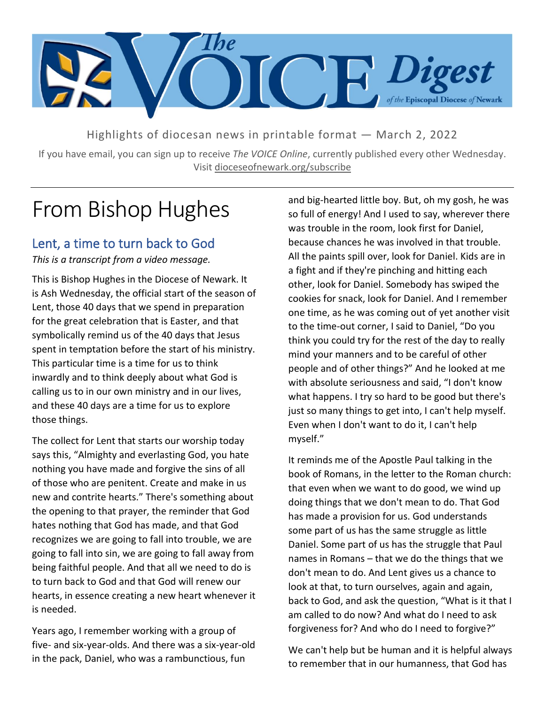

Highlights of diocesan news in printable format — March 2, 2022

If you have email, you can sign up to receive *The VOICE Online*, currently published every other Wednesday. Visit dioceseofnewark.org/subscribe

## From Bishop Hughes

### Lent, a time to turn back to God

*This is a transcript from a video message.*

This is Bishop Hughes in the Diocese of Newark. It is Ash Wednesday, the official start of the season of Lent, those 40 days that we spend in preparation for the great celebration that is Easter, and that symbolically remind us of the 40 days that Jesus spent in temptation before the start of his ministry. This particular time is a time for us to think inwardly and to think deeply about what God is calling us to in our own ministry and in our lives, and these 40 days are a time for us to explore those things.

The collect for Lent that starts our worship today says this, "Almighty and everlasting God, you hate nothing you have made and forgive the sins of all of those who are penitent. Create and make in us new and contrite hearts." There's something about the opening to that prayer, the reminder that God hates nothing that God has made, and that God recognizes we are going to fall into trouble, we are going to fall into sin, we are going to fall away from being faithful people. And that all we need to do is to turn back to God and that God will renew our hearts, in essence creating a new heart whenever it is needed.

Years ago, I remember working with a group of five- and six-year-olds. And there was a six-year-old in the pack, Daniel, who was a rambunctious, fun

and big-hearted little boy. But, oh my gosh, he was so full of energy! And I used to say, wherever there was trouble in the room, look first for Daniel, because chances he was involved in that trouble. All the paints spill over, look for Daniel. Kids are in a fight and if they're pinching and hitting each other, look for Daniel. Somebody has swiped the cookies for snack, look for Daniel. And I remember one time, as he was coming out of yet another visit to the time-out corner, I said to Daniel, "Do you think you could try for the rest of the day to really mind your manners and to be careful of other people and of other things?" And he looked at me with absolute seriousness and said, "I don't know what happens. I try so hard to be good but there's just so many things to get into, I can't help myself. Even when I don't want to do it, I can't help myself."

It reminds me of the Apostle Paul talking in the book of Romans, in the letter to the Roman church: that even when we want to do good, we wind up doing things that we don't mean to do. That God has made a provision for us. God understands some part of us has the same struggle as little Daniel. Some part of us has the struggle that Paul names in Romans – that we do the things that we don't mean to do. And Lent gives us a chance to look at that, to turn ourselves, again and again, back to God, and ask the question, "What is it that I am called to do now? And what do I need to ask forgiveness for? And who do I need to forgive?"

We can't help but be human and it is helpful always to remember that in our humanness, that God has